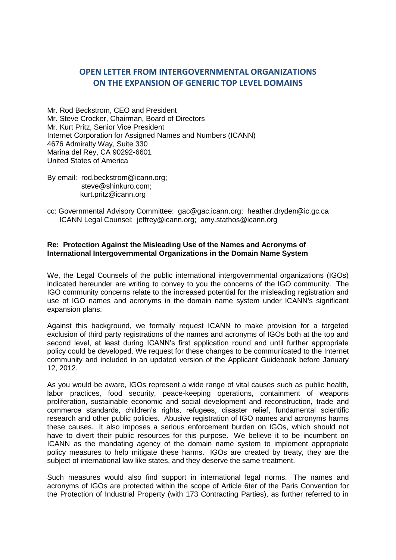## **OPEN LETTER FROM INTERGOVERNMENTAL ORGANIZATIONS ON THE EXPANSION OF GENERIC TOP LEVEL DOMAINS**

Mr. Rod Beckstrom, CEO and President Mr. Steve Crocker, Chairman, Board of Directors Mr. Kurt Pritz, Senior Vice President Internet Corporation for Assigned Names and Numbers (ICANN) 4676 Admiralty Way, Suite 330 Marina del Rey, CA 90292-6601 United States of America

By email: rod.beckstrom@icann.org; [steve@shinkuro.com;](mailto:steve@shinkuro.com) kurt.pritz@icann.org

cc: Governmental Advisory Committee: gac@gac.icann.org; heather.dryden@ic.gc.ca ICANN Legal Counsel: jeffrey@icann.org; amy.stathos@icann.org

## **Re: Protection Against the Misleading Use of the Names and Acronyms of International Intergovernmental Organizations in the Domain Name System**

We, the Legal Counsels of the public international intergovernmental organizations (IGOs) indicated hereunder are writing to convey to you the concerns of the IGO community. The IGO community concerns relate to the increased potential for the misleading registration and use of IGO names and acronyms in the domain name system under ICANN's significant expansion plans.

Against this background, we formally request ICANN to make provision for a targeted exclusion of third party registrations of the names and acronyms of IGOs both at the top and second level, at least during ICANN's first application round and until further appropriate policy could be developed. We request for these changes to be communicated to the Internet community and included in an updated version of the Applicant Guidebook before January 12, 2012.

As you would be aware, IGOs represent a wide range of vital causes such as public health, labor practices, food security, peace-keeping operations, containment of weapons proliferation, sustainable economic and social development and reconstruction, trade and commerce standards, children's rights, refugees, disaster relief, fundamental scientific research and other public policies. Abusive registration of IGO names and acronyms harms these causes. It also imposes a serious enforcement burden on IGOs, which should not have to divert their public resources for this purpose. We believe it to be incumbent on ICANN as the mandating agency of the domain name system to implement appropriate policy measures to help mitigate these harms. IGOs are created by treaty, they are the subject of international law like states, and they deserve the same treatment.

Such measures would also find support in international legal norms. The names and acronyms of IGOs are protected within the scope of Article 6ter of the Paris Convention for the Protection of Industrial Property (with 173 Contracting Parties), as further referred to in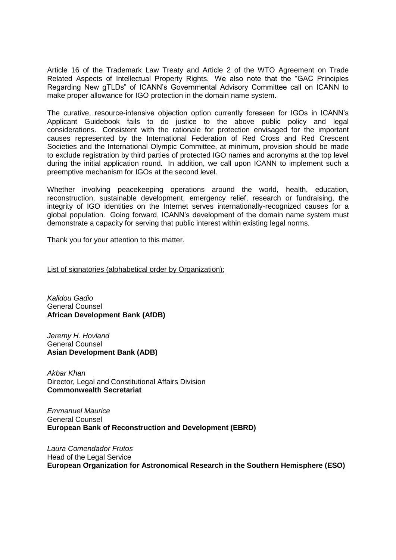Article 16 of the Trademark Law Treaty and Article 2 of the WTO Agreement on Trade Related Aspects of Intellectual Property Rights. We also note that the "GAC Principles Regarding New gTLDs" of ICANN's Governmental Advisory Committee call on ICANN to make proper allowance for IGO protection in the domain name system.

The curative, resource-intensive objection option currently foreseen for IGOs in ICANN's Applicant Guidebook fails to do justice to the above public policy and legal considerations. Consistent with the rationale for protection envisaged for the important causes represented by the International Federation of Red Cross and Red Crescent Societies and the International Olympic Committee, at minimum, provision should be made to exclude registration by third parties of protected IGO names and acronyms at the top level during the initial application round. In addition, we call upon ICANN to implement such a preemptive mechanism for IGOs at the second level.

Whether involving peacekeeping operations around the world, health, education, reconstruction, sustainable development, emergency relief, research or fundraising, the integrity of IGO identities on the Internet serves internationally-recognized causes for a global population. Going forward, ICANN's development of the domain name system must demonstrate a capacity for serving that public interest within existing legal norms.

Thank you for your attention to this matter.

List of signatories (alphabetical order by Organization):

*Kalidou Gadio*  General Counsel **African Development Bank (AfDB)**

*Jeremy H. Hovland* General Counsel **Asian Development Bank (ADB)**

*Akbar Khan* Director, Legal and Constitutional Affairs Division **Commonwealth Secretariat** 

*Emmanuel Maurice* General Counsel **European Bank of Reconstruction and Development (EBRD)**

*Laura Comendador Frutos*  Head of the Legal Service **European Organization for Astronomical Research in the Southern Hemisphere (ESO)**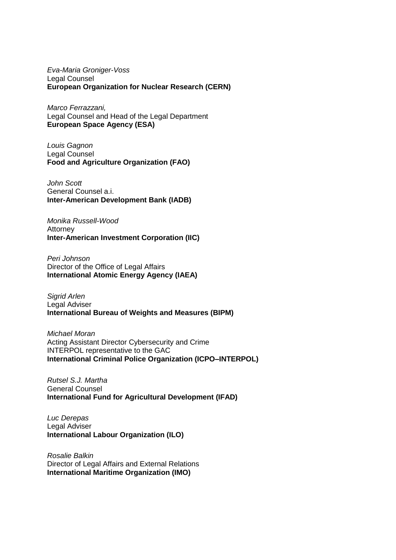*Eva-Maria Groniger-Voss* Legal Counsel **European Organization for Nuclear Research (CERN)**

*Marco Ferrazzani,*  Legal Counsel and Head of the Legal Department **European Space Agency (ESA)**

*Louis Gagnon* Legal Counsel **Food and Agriculture Organization (FAO)**

*John Scott* General Counsel a.i. **Inter-American Development Bank (IADB)**

*Monika Russell-Wood* Attorney **Inter-American Investment Corporation (IIC)**

*Peri Johnson* Director of the Office of Legal Affairs **International Atomic Energy Agency (IAEA)**

*Sigrid Arlen* Legal Adviser **International Bureau of Weights and Measures (BIPM)** 

*Michael Moran* Acting Assistant Director Cybersecurity and Crime INTERPOL representative to the GAC **International Criminal Police Organization (ICPO–INTERPOL)**

*Rutsel S.J. Martha* General Counsel **International Fund for Agricultural Development (IFAD)**

*Luc Derepas* Legal Adviser **International Labour Organization (ILO)**

*Rosalie Balkin* Director of Legal Affairs and External Relations **International Maritime Organization (IMO)**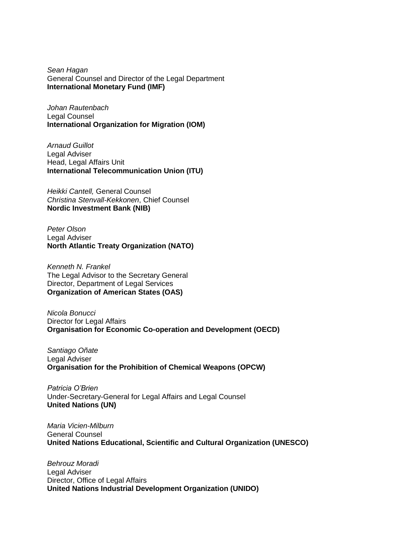*Sean Hagan* General Counsel and Director of the Legal Department **International Monetary Fund (IMF)**

*Johan Rautenbach* Legal Counsel **International Organization for Migration (IOM)** 

*Arnaud Guillot* Legal Adviser Head, Legal Affairs Unit **International Telecommunication Union (ITU)**

*Heikki Cantell,* General Counsel *Christina Stenvall-Kekkonen*, Chief Counsel **Nordic Investment Bank (NIB)** 

*Peter Olson* Legal Adviser **North Atlantic Treaty Organization (NATO)**

*Kenneth N. Frankel* The Legal Advisor to the Secretary General Director, Department of Legal Services **Organization of American States (OAS)**

*Nicola Bonucci* Director for Legal Affairs **Organisation for Economic Co-operation and Development (OECD)**

*Santiago Oñate* Legal Adviser **Organisation for the Prohibition of Chemical Weapons (OPCW)** 

*Patricia O'Brien* Under-Secretary-General for Legal Affairs and Legal Counsel **United Nations (UN)**

*Maria Vicien-Milburn* General Counsel **United Nations Educational, Scientific and Cultural Organization (UNESCO)**

*Behrouz Moradi*  Legal Adviser Director, Office of Legal Affairs **United Nations Industrial Development Organization (UNIDO)**